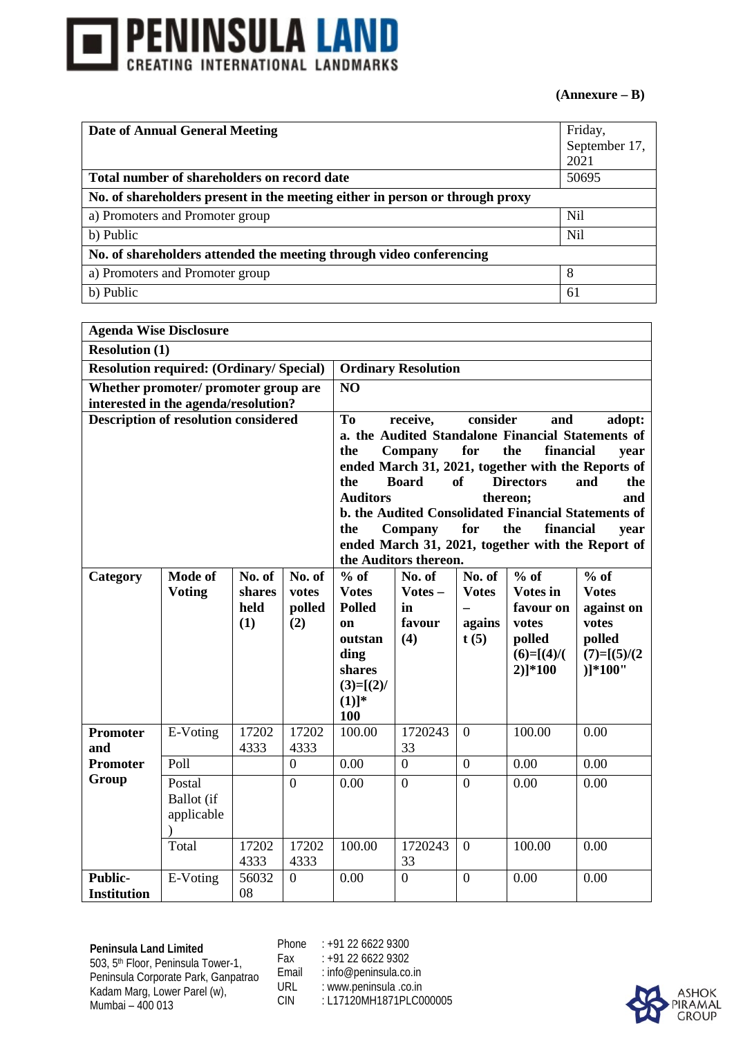

## **(Annexure – B)**

| Date of Annual General Meeting                                               | Friday,         |
|------------------------------------------------------------------------------|-----------------|
|                                                                              | September 17,   |
|                                                                              | 2021            |
| Total number of shareholders on record date                                  | 50695           |
| No. of shareholders present in the meeting either in person or through proxy |                 |
| a) Promoters and Promoter group                                              | N <sub>il</sub> |
| b) Public                                                                    | N <sub>il</sub> |
| No. of shareholders attended the meeting through video conferencing          |                 |
| a) Promoters and Promoter group                                              | 8               |
| b) Public                                                                    | 61              |

| <b>Agenda Wise Disclosure</b>                  |                                      |               |                |                                                                                                         |                            |                |                             |                                                            |  |
|------------------------------------------------|--------------------------------------|---------------|----------------|---------------------------------------------------------------------------------------------------------|----------------------------|----------------|-----------------------------|------------------------------------------------------------|--|
| <b>Resolution (1)</b>                          |                                      |               |                |                                                                                                         |                            |                |                             |                                                            |  |
| <b>Resolution required: (Ordinary/Special)</b> |                                      |               |                |                                                                                                         | <b>Ordinary Resolution</b> |                |                             |                                                            |  |
| interested in the agenda/resolution?           | Whether promoter/ promoter group are |               |                | NO                                                                                                      |                            |                |                             |                                                            |  |
| <b>Description of resolution considered</b>    |                                      |               |                | T <sub>o</sub><br>consider<br>receive,<br>and<br>adopt:                                                 |                            |                |                             |                                                            |  |
|                                                |                                      |               |                | a. the Audited Standalone Financial Statements of                                                       |                            |                |                             |                                                            |  |
|                                                |                                      |               |                | for<br>the<br>financial<br>the<br>Company<br>year<br>ended March 31, 2021, together with the Reports of |                            |                |                             |                                                            |  |
|                                                |                                      |               |                |                                                                                                         |                            |                |                             |                                                            |  |
|                                                |                                      |               |                | the                                                                                                     | <b>Board</b>               | <b>of</b>      | <b>Directors</b>            | the<br>and                                                 |  |
|                                                |                                      |               |                | <b>Auditors</b>                                                                                         |                            |                | thereon:                    | and<br>b. the Audited Consolidated Financial Statements of |  |
|                                                |                                      |               |                | the                                                                                                     | Company                    | for            | the<br>financial            | year                                                       |  |
|                                                |                                      |               |                |                                                                                                         |                            |                |                             | ended March 31, 2021, together with the Report of          |  |
|                                                |                                      |               |                |                                                                                                         | the Auditors thereon.      |                |                             |                                                            |  |
| Category                                       | Mode of                              | No. of        | No. of         | $%$ of                                                                                                  | No. of                     | No. of         | $\overline{\frac{6}{6}}$ of | $%$ of                                                     |  |
|                                                | <b>Voting</b>                        | shares        | votes          | <b>Votes</b>                                                                                            | Votes-                     | <b>Votes</b>   | <b>Votes in</b>             | <b>Votes</b>                                               |  |
|                                                |                                      | held          | polled         | <b>Polled</b>                                                                                           | in                         |                | favour on                   | against on                                                 |  |
|                                                |                                      | (1)           | (2)            | on                                                                                                      | favour                     | agains         | votes                       | votes                                                      |  |
|                                                |                                      |               |                | outstan                                                                                                 | (4)                        | t(5)           | polled                      | polled                                                     |  |
|                                                |                                      |               |                | ding                                                                                                    |                            |                | $(6)=[(4)]($                | $(7)=[(5)/(2)$                                             |  |
|                                                |                                      |               |                | shares                                                                                                  |                            |                | $2)$ <sup>*100</sup>        | $)]*100"$                                                  |  |
|                                                |                                      |               |                | $(3)=[(2)/$                                                                                             |                            |                |                             |                                                            |  |
|                                                |                                      |               |                | $(1)]^*$<br><b>100</b>                                                                                  |                            |                |                             |                                                            |  |
| <b>Promoter</b>                                | E-Voting                             | 17202         | 17202          | 100.00                                                                                                  | 1720243                    | $\overline{0}$ | 100.00                      | 0.00                                                       |  |
| and                                            |                                      | 4333          | 4333           |                                                                                                         | 33                         |                |                             |                                                            |  |
| <b>Promoter</b>                                | Poll                                 |               | $\overline{0}$ | 0.00                                                                                                    | $\overline{0}$             | $\overline{0}$ | 0.00                        | 0.00                                                       |  |
| Group                                          | Postal                               |               | $\overline{0}$ | 0.00                                                                                                    | $\overline{0}$             | $\overline{0}$ | 0.00                        | 0.00                                                       |  |
|                                                | Ballot (if                           |               |                |                                                                                                         |                            |                |                             |                                                            |  |
|                                                | applicable                           |               |                |                                                                                                         |                            |                |                             |                                                            |  |
|                                                |                                      |               |                |                                                                                                         |                            |                |                             |                                                            |  |
|                                                | Total                                | 17202<br>4333 | 17202<br>4333  | 100.00                                                                                                  | 1720243<br>33              | $\overline{0}$ | 100.00                      | 0.00                                                       |  |
|                                                |                                      |               |                |                                                                                                         |                            |                |                             |                                                            |  |
| <b>Public-</b>                                 | E-Voting                             | 56032         | $\mathbf{0}$   | 0.00                                                                                                    | $\boldsymbol{0}$           | $\mathbf{0}$   | 0.00                        | 0.00                                                       |  |
| <b>Institution</b>                             |                                      | 08            |                |                                                                                                         |                            |                |                             |                                                            |  |

**Peninsula Land Limited** 503, 5th Floor, Peninsula Tower-1, Peninsula Corporate Park, Ganpatrao Kadam Marg, Lower Parel (w), Mumbai – 400 013

Phone : +91 22 6622 9300 Fax : +91 22 6622 9302

Email : info@peninsula.co.in<br>URL : www.peninsula.co.in URL : www.peninsula .co.in<br>CIN : L17120MH1871PLC0

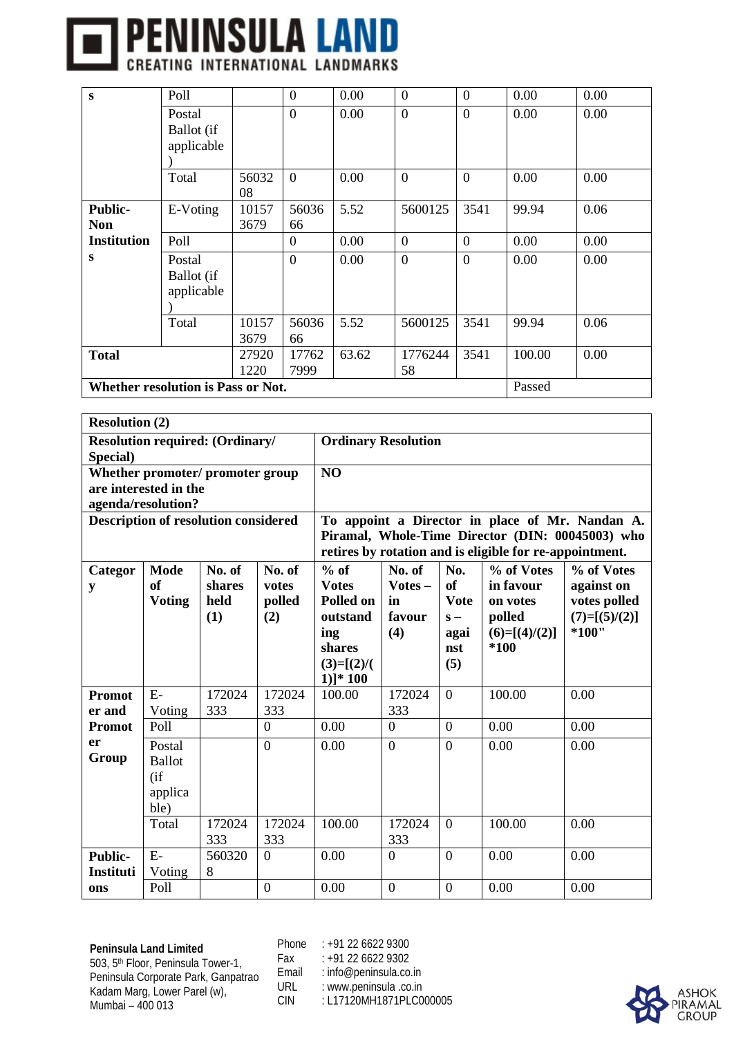## **THENINSULA LAND**

| S                                            | Poll               |       | $\overline{0}$ | 0.00  | $\overline{0}$   | $\overline{0}$ | 0.00   | 0.00 |  |  |  |
|----------------------------------------------|--------------------|-------|----------------|-------|------------------|----------------|--------|------|--|--|--|
|                                              | Postal             |       | $\theta$       | 0.00  | $\overline{0}$   | $\overline{0}$ | 0.00   | 0.00 |  |  |  |
|                                              | Ballot (if         |       |                |       |                  |                |        |      |  |  |  |
|                                              | applicable         |       |                |       |                  |                |        |      |  |  |  |
|                                              |                    |       |                |       |                  |                |        |      |  |  |  |
|                                              | Total              | 56032 | $\overline{0}$ | 0.00  | $\boldsymbol{0}$ | $\overline{0}$ | 0.00   | 0.00 |  |  |  |
|                                              |                    | 08    |                |       |                  |                |        |      |  |  |  |
| <b>Public-</b>                               | E-Voting           | 10157 | 56036          | 5.52  | 5600125          | 3541           | 99.94  | 0.06 |  |  |  |
| <b>Non</b>                                   |                    | 3679  | 66             |       |                  |                |        |      |  |  |  |
| <b>Institution</b>                           | Poll               |       | $\Omega$       | 0.00  | $\theta$         | $\overline{0}$ | 0.00   | 0.00 |  |  |  |
| S                                            | Postal             |       | $\theta$       | 0.00  | $\boldsymbol{0}$ | $\overline{0}$ | 0.00   | 0.00 |  |  |  |
|                                              | Ballot (if         |       |                |       |                  |                |        |      |  |  |  |
|                                              | applicable         |       |                |       |                  |                |        |      |  |  |  |
|                                              |                    |       |                |       |                  |                |        |      |  |  |  |
|                                              | Total              | 10157 | 56036          | 5.52  | 5600125          | 3541           | 99.94  | 0.06 |  |  |  |
|                                              |                    | 3679  | 66             |       |                  |                |        |      |  |  |  |
| <b>Total</b>                                 |                    | 27920 | 17762          | 63.62 | 1776244          | 3541           | 100.00 | 0.00 |  |  |  |
|                                              | 58<br>1220<br>7999 |       |                |       |                  |                |        |      |  |  |  |
| Whether resolution is Pass or Not.<br>Passed |                    |       |                |       |                  |                |        |      |  |  |  |

| <b>Resolution (2)</b> |                                                    |                                             |                                  |                                                                                                 |                                            |                                                         |                                                                                                             |                                                                        |
|-----------------------|----------------------------------------------------|---------------------------------------------|----------------------------------|-------------------------------------------------------------------------------------------------|--------------------------------------------|---------------------------------------------------------|-------------------------------------------------------------------------------------------------------------|------------------------------------------------------------------------|
|                       |                                                    | <b>Resolution required: (Ordinary/</b>      |                                  | <b>Ordinary Resolution</b>                                                                      |                                            |                                                         |                                                                                                             |                                                                        |
| Special)              |                                                    |                                             |                                  |                                                                                                 |                                            |                                                         |                                                                                                             |                                                                        |
|                       | are interested in the                              | Whether promoter/ promoter group            |                                  | NO                                                                                              |                                            |                                                         |                                                                                                             |                                                                        |
|                       | agenda/resolution?                                 |                                             |                                  |                                                                                                 |                                            |                                                         |                                                                                                             |                                                                        |
|                       |                                                    | <b>Description of resolution considered</b> |                                  |                                                                                                 |                                            |                                                         |                                                                                                             | To appoint a Director in place of Mr. Nandan A.                        |
|                       |                                                    |                                             |                                  |                                                                                                 |                                            |                                                         | Piramal, Whole-Time Director (DIN: 00045003) who<br>retires by rotation and is eligible for re-appointment. |                                                                        |
| Categor<br>y          | <b>Mode</b><br><b>of</b><br><b>Voting</b>          | No. of<br>shares<br>held<br>(1)             | No. of<br>votes<br>polled<br>(2) | $%$ of<br><b>Votes</b><br>Polled on<br>outstand<br>ing<br>shares<br>$(3)=[(2)/($<br>$1)]^* 100$ | No. of<br>$Votes -$<br>in<br>favour<br>(4) | No.<br>of<br><b>Vote</b><br>$S -$<br>agai<br>nst<br>(5) | % of Votes<br>in favour<br>on votes<br>polled<br>$(6)=[(4)/(2)]$<br>*100                                    | % of Votes<br>against on<br>votes polled<br>$(7)=[(5)/(2)]$<br>$*100"$ |
| <b>Promot</b>         | $E-$                                               | 172024                                      | 172024                           | 100.00                                                                                          | 172024                                     | $\overline{0}$                                          | 100.00                                                                                                      | 0.00                                                                   |
| er and                | Voting                                             | 333                                         | 333                              |                                                                                                 | 333                                        |                                                         |                                                                                                             |                                                                        |
| <b>Promot</b>         | Poll                                               |                                             | $\overline{0}$                   | 0.00                                                                                            | $\overline{0}$                             | $\overline{0}$                                          | 0.00                                                                                                        | 0.00                                                                   |
| er<br>Group           | Postal<br><b>Ballot</b><br>(if)<br>applica<br>ble) |                                             | $\overline{0}$                   | 0.00                                                                                            | $\theta$                                   | $\theta$                                                | 0.00                                                                                                        | 0.00                                                                   |
|                       | Total                                              | 172024<br>333                               | 172024<br>333                    | 100.00                                                                                          | 172024<br>333                              | $\theta$                                                | 100.00                                                                                                      | 0.00                                                                   |
| <b>Public-</b>        | $E-$                                               | 560320                                      | $\overline{0}$                   | 0.00                                                                                            | $\overline{0}$                             | $\overline{0}$                                          | 0.00                                                                                                        | 0.00                                                                   |
| Instituti             | Voting                                             | 8                                           |                                  |                                                                                                 |                                            |                                                         |                                                                                                             |                                                                        |
| ons                   | Poll                                               |                                             | $\overline{0}$                   | 0.00                                                                                            | $\overline{0}$                             | $\overline{0}$                                          | 0.00                                                                                                        | 0.00                                                                   |

**Peninsula Land Limited** 503, 5th Floor, Peninsula Tower-1, Peninsula Corporate Park, Ganpatrao Kadam Marg, Lower Parel (w), Mumbai – 400 013

Phone : +91 22 6622 9300 Fax : +91 22 6622 9302

Email : info@peninsula.co.in<br>URL : www.peninsula.co.in

URL : www.peninsula .co.in<br>CIN : L17120MH1871PLC0 : L17120MH1871PLC000005

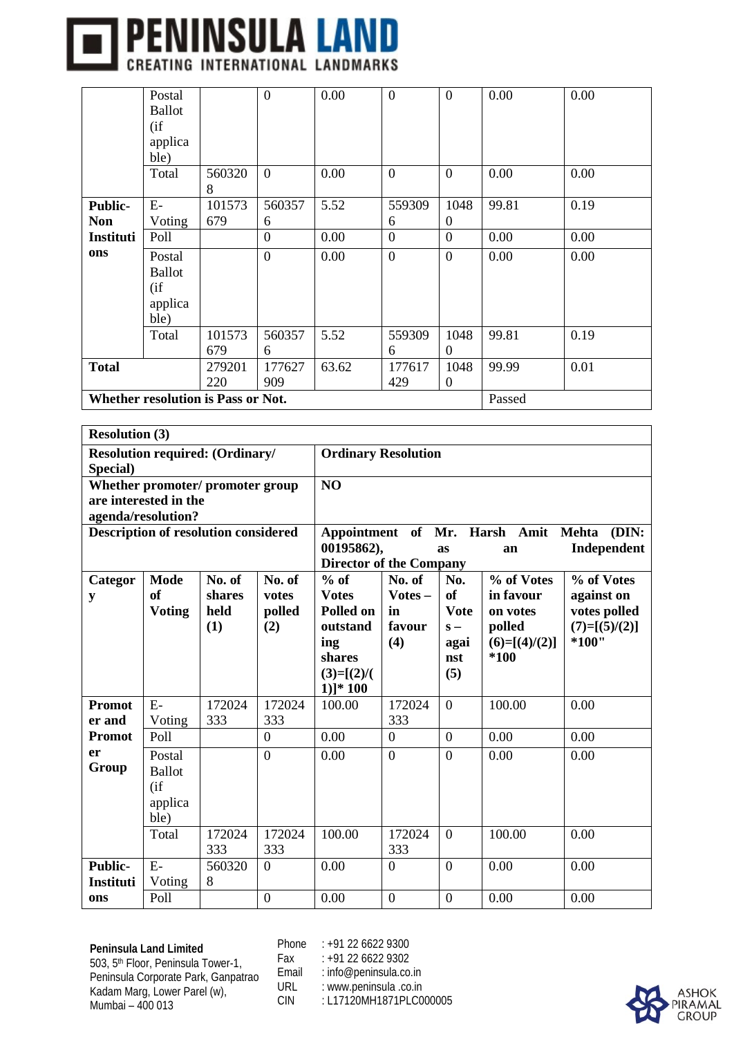

|                  | Postal                             |        | $\boldsymbol{0}$ | 0.00   | $\overline{0}$ | $\boldsymbol{0}$ | 0.00  | 0.00 |  |  |
|------------------|------------------------------------|--------|------------------|--------|----------------|------------------|-------|------|--|--|
|                  | <b>Ballot</b>                      |        |                  |        |                |                  |       |      |  |  |
|                  | (i f)                              |        |                  |        |                |                  |       |      |  |  |
|                  | applica                            |        |                  |        |                |                  |       |      |  |  |
|                  | ble)                               |        |                  |        |                |                  |       |      |  |  |
|                  | Total                              | 560320 | $\overline{0}$   | 0.00   | $\overline{0}$ | $\overline{0}$   | 0.00  | 0.00 |  |  |
|                  |                                    | 8      |                  |        |                |                  |       |      |  |  |
| <b>Public-</b>   | $E-$                               | 101573 | 560357           | 5.52   | 559309         | 1048             | 99.81 | 0.19 |  |  |
| <b>Non</b>       | Voting                             | 679    | 6                |        | 6              | $\theta$         |       |      |  |  |
| <b>Instituti</b> | Poll                               |        | $\boldsymbol{0}$ | 0.00   | $\overline{0}$ | $\overline{0}$   | 0.00  | 0.00 |  |  |
| ons              | Postal                             |        | $\boldsymbol{0}$ | 0.00   | $\mathbf{0}$   | $\boldsymbol{0}$ | 0.00  | 0.00 |  |  |
|                  | <b>Ballot</b>                      |        |                  |        |                |                  |       |      |  |  |
|                  | (i f)                              |        |                  |        |                |                  |       |      |  |  |
|                  | applica                            |        |                  |        |                |                  |       |      |  |  |
|                  | ble)                               |        |                  |        |                |                  |       |      |  |  |
|                  | Total                              | 101573 | 560357           | 5.52   | 559309         | 1048             | 99.81 | 0.19 |  |  |
|                  |                                    | 679    | 6                |        | 6              | $\theta$         |       |      |  |  |
| <b>Total</b>     |                                    | 279201 | 177627           | 63.62  | 177617         | 1048             | 99.99 | 0.01 |  |  |
|                  | 909<br>429<br>220<br>$\Omega$      |        |                  |        |                |                  |       |      |  |  |
|                  | Whether resolution is Pass or Not. |        |                  | Passed |                |                  |       |      |  |  |

| <b>Resolution (3)</b>       |                                                    |                                             |                                  |                                                                                                  |                                            |                                                                    |                                                                          |                                                                        |  |  |
|-----------------------------|----------------------------------------------------|---------------------------------------------|----------------------------------|--------------------------------------------------------------------------------------------------|--------------------------------------------|--------------------------------------------------------------------|--------------------------------------------------------------------------|------------------------------------------------------------------------|--|--|
| Special)                    |                                                    | <b>Resolution required: (Ordinary/</b>      |                                  | <b>Ordinary Resolution</b>                                                                       |                                            |                                                                    |                                                                          |                                                                        |  |  |
|                             | are interested in the<br>agenda/resolution?        | Whether promoter/ promoter group            |                                  | N <sub>O</sub>                                                                                   |                                            |                                                                    |                                                                          |                                                                        |  |  |
|                             |                                                    | <b>Description of resolution considered</b> |                                  | 00195862),<br><b>Director of the Company</b>                                                     |                                            | as                                                                 | Appointment of Mr. Harsh Amit<br>an                                      | (DIN:<br><b>Mehta</b><br>Independent                                   |  |  |
| Categor<br>y                | <b>Mode</b><br>of<br><b>Voting</b>                 | No. of<br>shares<br>held<br>(1)             | No. of<br>votes<br>polled<br>(2) | $%$ of<br><b>Votes</b><br>Polled on<br>outstand<br>ing<br>shares<br>$(3)=[(2)/($<br>$1$ ]* $100$ | No. of<br>$Votes -$<br>in<br>favour<br>(4) | No.<br><sub>of</sub><br><b>Vote</b><br>$S -$<br>agai<br>nst<br>(5) | % of Votes<br>in favour<br>on votes<br>polled<br>$(6)=[(4)/(2)]$<br>*100 | % of Votes<br>against on<br>votes polled<br>$(7)=[(5)/(2)]$<br>$*100"$ |  |  |
| <b>Promot</b><br>er and     | $E-$<br>Voting                                     | 172024<br>333                               | 172024<br>333                    | 100.00                                                                                           | 172024<br>333                              | $\overline{0}$                                                     | 100.00                                                                   | 0.00                                                                   |  |  |
| <b>Promot</b>               | Poll                                               |                                             | $\overline{0}$                   | 0.00                                                                                             | $\overline{0}$                             | $\overline{0}$                                                     | 0.00                                                                     | 0.00                                                                   |  |  |
| er<br>Group                 | Postal<br><b>Ballot</b><br>(if)<br>applica<br>ble) |                                             | $\overline{0}$                   | 0.00                                                                                             | $\overline{0}$                             | $\overline{0}$                                                     | 0.00                                                                     | 0.00                                                                   |  |  |
|                             | Total                                              | 172024<br>333                               | 172024<br>333                    | 100.00                                                                                           | 172024<br>333                              | $\overline{0}$                                                     | 100.00                                                                   | 0.00                                                                   |  |  |
| <b>Public-</b><br>Instituti | $E-$<br>Voting                                     | 560320<br>8                                 | $\overline{0}$                   | 0.00                                                                                             | $\overline{0}$                             | $\overline{0}$                                                     | 0.00                                                                     | 0.00                                                                   |  |  |
| ons                         | Poll                                               |                                             | $\overline{0}$                   | 0.00                                                                                             | $\overline{0}$                             | $\overline{0}$                                                     | 0.00                                                                     | 0.00                                                                   |  |  |

Phone : +91 22 6622 9300

Fax : +91 22 6622 9302

Email : info@peninsula.co.in<br>URL : www.peninsula.co.in

URL : www.peninsula .co.in<br>CIN : L17120MH1871PLC0

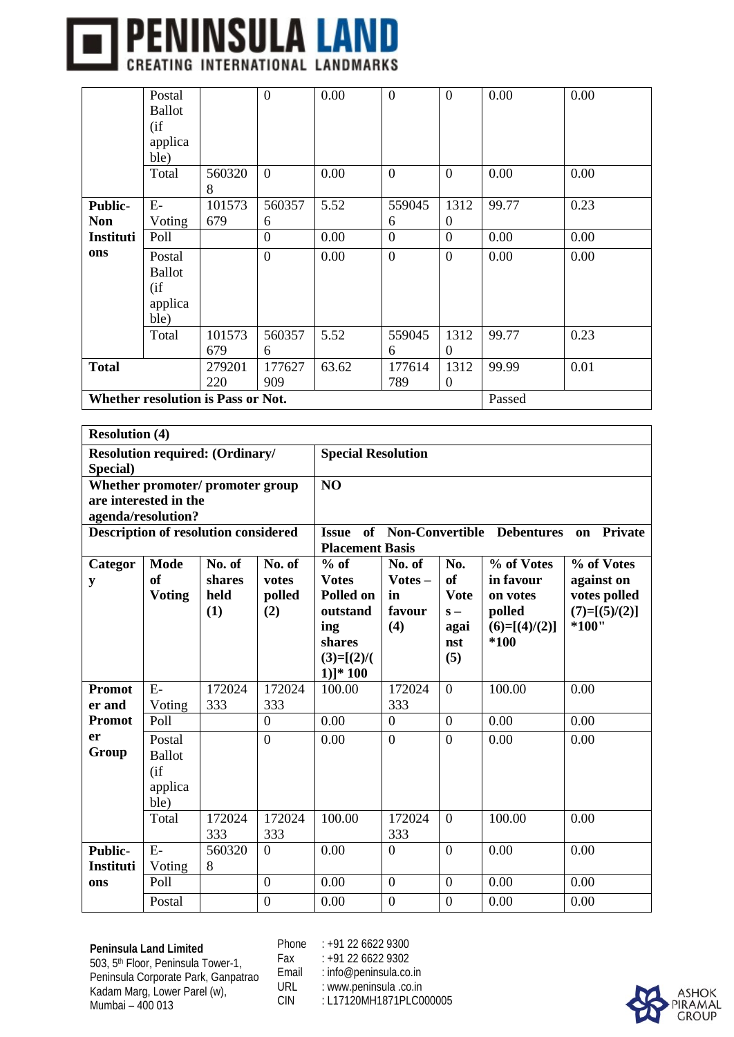

|                  | Postal                        |                                    | $\boldsymbol{0}$ | 0.00   | $\overline{0}$ | $\boldsymbol{0}$ | 0.00  | 0.00 |  |  |
|------------------|-------------------------------|------------------------------------|------------------|--------|----------------|------------------|-------|------|--|--|
|                  | <b>Ballot</b>                 |                                    |                  |        |                |                  |       |      |  |  |
|                  | (i f)                         |                                    |                  |        |                |                  |       |      |  |  |
|                  | applica                       |                                    |                  |        |                |                  |       |      |  |  |
|                  | ble)                          |                                    |                  |        |                |                  |       |      |  |  |
|                  | Total                         | 560320                             | $\overline{0}$   | 0.00   | $\overline{0}$ | $\overline{0}$   | 0.00  | 0.00 |  |  |
|                  |                               | 8                                  |                  |        |                |                  |       |      |  |  |
| <b>Public-</b>   | $E-$                          | 101573                             | 560357           | 5.52   | 559045         | 1312             | 99.77 | 0.23 |  |  |
| <b>Non</b>       | Voting                        | 679                                | 6                |        | 6              | $\theta$         |       |      |  |  |
| <b>Instituti</b> | Poll                          |                                    | $\boldsymbol{0}$ | 0.00   | $\overline{0}$ | $\overline{0}$   | 0.00  | 0.00 |  |  |
| ons              | Postal                        |                                    | $\boldsymbol{0}$ | 0.00   | $\mathbf{0}$   | $\boldsymbol{0}$ | 0.00  | 0.00 |  |  |
|                  | <b>Ballot</b>                 |                                    |                  |        |                |                  |       |      |  |  |
|                  | (i f)                         |                                    |                  |        |                |                  |       |      |  |  |
|                  | applica                       |                                    |                  |        |                |                  |       |      |  |  |
|                  | ble)                          |                                    |                  |        |                |                  |       |      |  |  |
|                  | Total                         | 101573                             | 560357           | 5.52   | 559045         | 1312             | 99.77 | 0.23 |  |  |
|                  |                               | 679                                | 6                |        | 6              | $\overline{0}$   |       |      |  |  |
| <b>Total</b>     |                               | 279201                             | 177627           | 63.62  | 177614         | 1312             | 99.99 | 0.01 |  |  |
|                  | 909<br>789<br>220<br>$\theta$ |                                    |                  |        |                |                  |       |      |  |  |
|                  |                               | Whether resolution is Pass or Not. |                  | Passed |                |                  |       |      |  |  |

| <b>Resolution (4)</b>              |                                                                                                             |                                             |                                  |                                                                                               |                                            |                                                                |                                                                          |                                                                      |  |  |  |
|------------------------------------|-------------------------------------------------------------------------------------------------------------|---------------------------------------------|----------------------------------|-----------------------------------------------------------------------------------------------|--------------------------------------------|----------------------------------------------------------------|--------------------------------------------------------------------------|----------------------------------------------------------------------|--|--|--|
| Special)                           |                                                                                                             | <b>Resolution required: (Ordinary/</b>      |                                  | <b>Special Resolution</b>                                                                     |                                            |                                                                |                                                                          |                                                                      |  |  |  |
|                                    | are interested in the<br>agenda/resolution?                                                                 | Whether promoter/ promoter group            |                                  | NO                                                                                            |                                            |                                                                |                                                                          |                                                                      |  |  |  |
|                                    |                                                                                                             | <b>Description of resolution considered</b> |                                  | <b>Issue</b><br><b>Placement Basis</b>                                                        |                                            |                                                                | of Non-Convertible Debentures                                            | on Private                                                           |  |  |  |
| Categor<br>y                       | <b>Mode</b><br><b>of</b><br><b>Voting</b>                                                                   | No. of<br>shares<br>held<br>(1)             | No. of<br>votes<br>polled<br>(2) | $%$ of<br><b>Votes</b><br>Polled on<br>outstand<br>ing<br>shares<br>$(3)=[(2)/($<br>$1)]*100$ | No. of<br>$Votes -$<br>in<br>favour<br>(4) | No.<br><b>of</b><br><b>Vote</b><br>$S -$<br>agai<br>nst<br>(5) | % of Votes<br>in favour<br>on votes<br>polled<br>$(6)=[(4)/(2)]$<br>*100 | % of Votes<br>against on<br>votes polled<br>$(7)=[(5)/(2)]$<br>*100" |  |  |  |
| <b>Promot</b><br>er and            | $E-$<br>Voting                                                                                              | 172024<br>333                               | 172024<br>333                    | 100.00                                                                                        | 172024<br>333                              | $\overline{0}$                                                 | 100.00                                                                   | 0.00                                                                 |  |  |  |
| <b>Promot</b>                      | Poll                                                                                                        |                                             | $\overline{0}$                   | 0.00                                                                                          | $\overline{0}$                             | $\overline{0}$                                                 | 0.00                                                                     | 0.00                                                                 |  |  |  |
| er<br>Group                        | Postal<br><b>Ballot</b><br>(if)<br>applica<br>ble)                                                          |                                             | $\mathbf{0}$                     | 0.00                                                                                          | $\overline{0}$                             | $\overline{0}$                                                 | 0.00                                                                     | 0.00                                                                 |  |  |  |
|                                    | Total                                                                                                       | 172024<br>333                               | 172024<br>333                    | 100.00                                                                                        | 172024<br>333                              | $\overline{0}$                                                 | 100.00                                                                   | 0.00                                                                 |  |  |  |
| <b>Public-</b><br><b>Instituti</b> | $E-$<br>$\overline{0}$<br>560320<br>$\overline{0}$<br>0.00<br>$\overline{0}$<br>0.00<br>0.00<br>Voting<br>8 |                                             |                                  |                                                                                               |                                            |                                                                |                                                                          |                                                                      |  |  |  |
| ons                                | Poll                                                                                                        |                                             | $\overline{0}$                   | 0.00                                                                                          | $\overline{0}$                             | $\overline{0}$                                                 | 0.00                                                                     | 0.00                                                                 |  |  |  |
|                                    | Postal                                                                                                      |                                             | $\overline{0}$                   | 0.00                                                                                          | $\overline{0}$                             | $\overline{0}$                                                 | 0.00                                                                     | 0.00                                                                 |  |  |  |

Phone : +91 22 6622 9300 Fax : +91 22 6622 9302

Email : info@peninsula.co.in<br>URL : www.peninsula.co.in

URL : www.peninsula .co.in<br>CIN : L17120MH1871PLC0 : L17120MH1871PLC000005

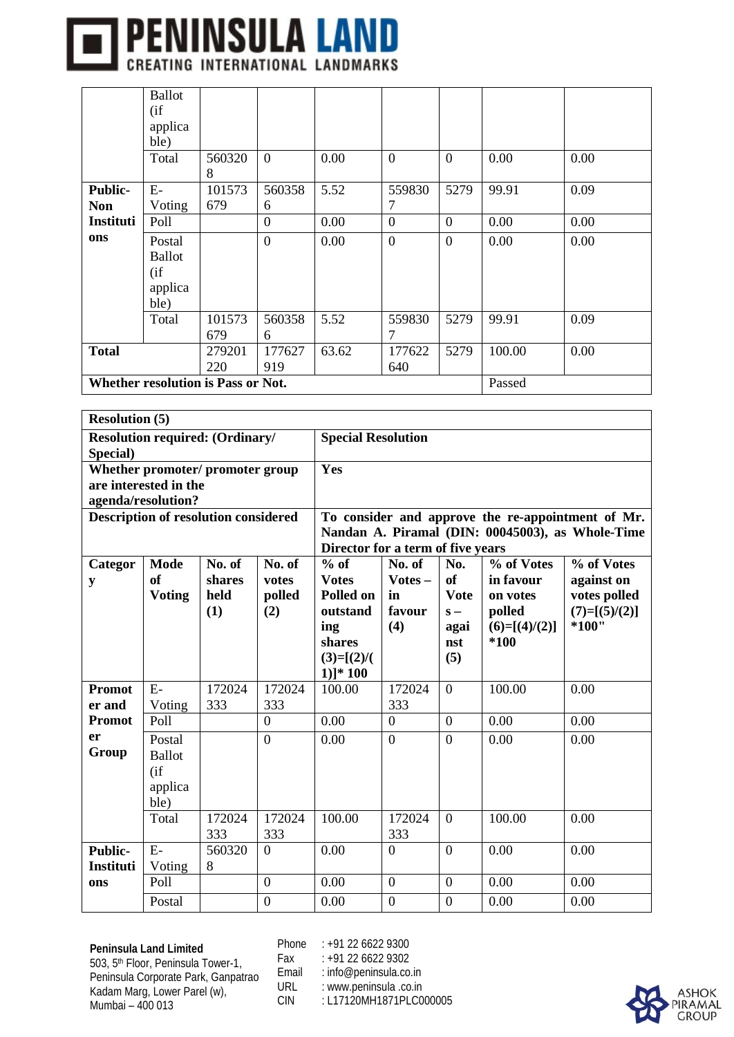

|                  | <b>Ballot</b>                                |        |                  |       |                |                |        |      |  |  |  |
|------------------|----------------------------------------------|--------|------------------|-------|----------------|----------------|--------|------|--|--|--|
|                  | (i f)                                        |        |                  |       |                |                |        |      |  |  |  |
|                  | applica                                      |        |                  |       |                |                |        |      |  |  |  |
|                  | ble)                                         |        |                  |       |                |                |        |      |  |  |  |
|                  | Total                                        | 560320 | $\overline{0}$   | 0.00  | $\overline{0}$ | $\mathbf{0}$   | 0.00   | 0.00 |  |  |  |
|                  |                                              | 8      |                  |       |                |                |        |      |  |  |  |
| <b>Public-</b>   | $E-$                                         | 101573 | 560358           | 5.52  | 559830         | 5279           | 99.91  | 0.09 |  |  |  |
| <b>Non</b>       | Voting                                       | 679    | 6                |       | 7              |                |        |      |  |  |  |
| <b>Instituti</b> | Poll                                         |        | $\boldsymbol{0}$ | 0.00  | $\overline{0}$ | $\overline{0}$ | 0.00   | 0.00 |  |  |  |
| ons              | Postal                                       |        | $\overline{0}$   | 0.00  | $\mathbf{0}$   | $\mathbf{0}$   | 0.00   | 0.00 |  |  |  |
|                  | <b>Ballot</b>                                |        |                  |       |                |                |        |      |  |  |  |
|                  | (i f)                                        |        |                  |       |                |                |        |      |  |  |  |
|                  | applica                                      |        |                  |       |                |                |        |      |  |  |  |
|                  | ble)                                         |        |                  |       |                |                |        |      |  |  |  |
|                  | Total                                        | 101573 | 560358           | 5.52  | 559830         | 5279           | 99.91  | 0.09 |  |  |  |
|                  |                                              | 679    | 6                |       | 7              |                |        |      |  |  |  |
| <b>Total</b>     |                                              | 279201 | 177627           | 63.62 | 177622         | 5279           | 100.00 | 0.00 |  |  |  |
|                  |                                              | 220    | 919              |       | 640            |                |        |      |  |  |  |
|                  | Whether resolution is Pass or Not.<br>Passed |        |                  |       |                |                |        |      |  |  |  |

|                | <b>Resolution (5)</b> |                                             |                |                                                            |                  |                |            |                                                   |  |  |  |  |
|----------------|-----------------------|---------------------------------------------|----------------|------------------------------------------------------------|------------------|----------------|------------|---------------------------------------------------|--|--|--|--|
|                |                       | <b>Resolution required: (Ordinary/</b>      |                | <b>Special Resolution</b>                                  |                  |                |            |                                                   |  |  |  |  |
| Special)       |                       |                                             |                |                                                            |                  |                |            |                                                   |  |  |  |  |
|                |                       | Whether promoter/ promoter group            |                | Yes                                                        |                  |                |            |                                                   |  |  |  |  |
|                | are interested in the |                                             |                |                                                            |                  |                |            |                                                   |  |  |  |  |
|                | agenda/resolution?    | <b>Description of resolution considered</b> |                |                                                            |                  |                |            | To consider and approve the re-appointment of Mr. |  |  |  |  |
|                |                       |                                             |                |                                                            |                  |                |            | Nandan A. Piramal (DIN: 00045003), as Whole-Time  |  |  |  |  |
|                |                       |                                             |                | Director for a term of five years                          |                  |                |            |                                                   |  |  |  |  |
| Categor        | Mode                  | No. of                                      | No. of         | $%$ of                                                     | No. of           | No.            | % of Votes | % of Votes                                        |  |  |  |  |
| y              | of                    | shares                                      | votes          | $Votes -$<br>of<br><b>Votes</b><br>in favour<br>against on |                  |                |            |                                                   |  |  |  |  |
|                | <b>Voting</b>         | held                                        | polled         | Polled on<br><b>Vote</b><br>votes polled<br>in<br>on votes |                  |                |            |                                                   |  |  |  |  |
|                |                       | (1)                                         | (2)            | outstand                                                   | favour<br>(4)    | $S -$          | polled     | $(7)=[(5)/(2)]$<br>*100"                          |  |  |  |  |
|                |                       |                                             |                | $(6)=[(4)/(2)]$<br>ing<br>agai<br>*100<br>shares<br>nst    |                  |                |            |                                                   |  |  |  |  |
|                |                       |                                             |                | (5)<br>$(3)=[(2)/($                                        |                  |                |            |                                                   |  |  |  |  |
|                |                       |                                             |                | $1$ ]* $100$                                               |                  |                |            |                                                   |  |  |  |  |
| <b>Promot</b>  | $E-$                  | 172024                                      | 172024         | 100.00                                                     | 172024           | $\overline{0}$ | 100.00     | 0.00                                              |  |  |  |  |
| er and         | Voting                | 333                                         | 333            |                                                            | 333              |                |            |                                                   |  |  |  |  |
| <b>Promot</b>  | Poll                  |                                             | $\overline{0}$ | 0.00                                                       | $\overline{0}$   | $\overline{0}$ | 0.00       | 0.00                                              |  |  |  |  |
| er<br>Group    | Postal                |                                             | $\overline{0}$ | 0.00                                                       | $\theta$         | $\theta$       | 0.00       | 0.00                                              |  |  |  |  |
|                | <b>Ballot</b>         |                                             |                |                                                            |                  |                |            |                                                   |  |  |  |  |
|                | (i f)<br>applica      |                                             |                |                                                            |                  |                |            |                                                   |  |  |  |  |
|                | ble)                  |                                             |                |                                                            |                  |                |            |                                                   |  |  |  |  |
|                | Total                 | 172024                                      | 172024         | 100.00                                                     | 172024           | $\overline{0}$ | 100.00     | 0.00                                              |  |  |  |  |
|                |                       | 333                                         | 333            |                                                            | 333              |                |            |                                                   |  |  |  |  |
| <b>Public-</b> | $E-$                  | 560320                                      | $\overline{0}$ | 0.00                                                       | $\theta$         | $\overline{0}$ | 0.00       | 0.00                                              |  |  |  |  |
| Instituti      | Voting                | 8                                           |                |                                                            |                  |                |            |                                                   |  |  |  |  |
| ons            | Poll                  |                                             | $\mathbf{0}$   | 0.00                                                       | $\boldsymbol{0}$ | $\overline{0}$ | 0.00       | 0.00                                              |  |  |  |  |
|                | Postal                |                                             | $\overline{0}$ | 0.00                                                       | $\overline{0}$   | $\overline{0}$ | 0.00       | 0.00                                              |  |  |  |  |

Phone : +91 22 6622 9300 Fax : +91 22 6622 9302

Email : info@peninsula.co.in<br>URL : www.peninsula.co.in URL : www.peninsula .co.in<br>CIN : L17120MH1871PLC0

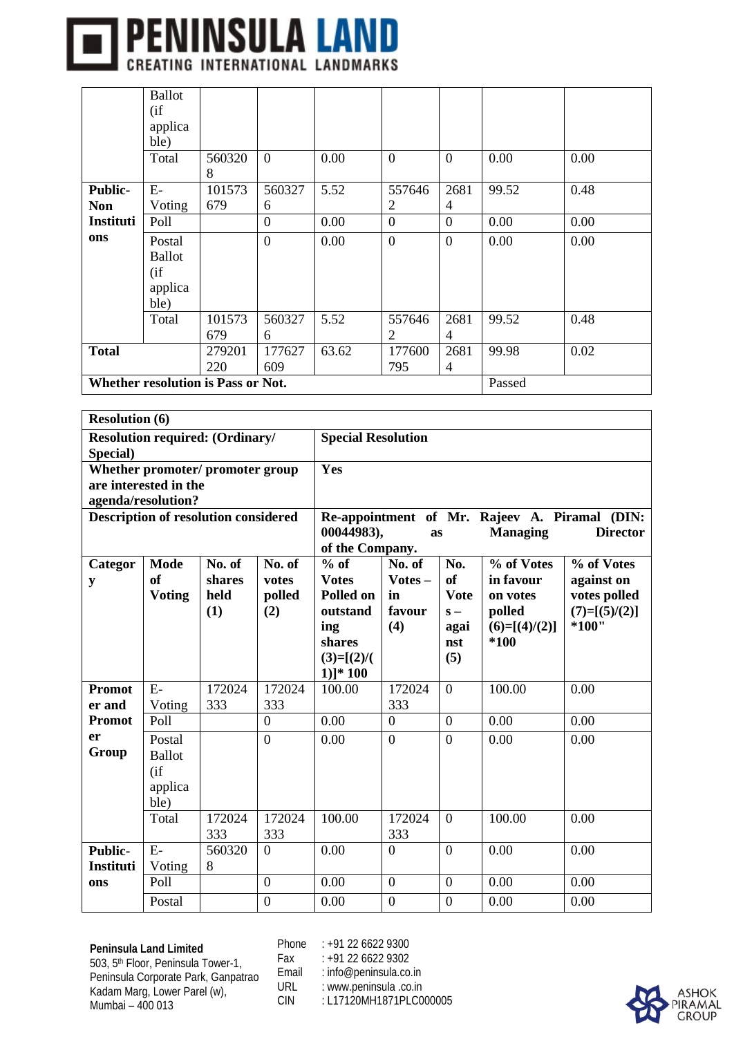

|                  | <b>Ballot</b>                                |        |                  |       |                |                  |       |      |  |  |  |
|------------------|----------------------------------------------|--------|------------------|-------|----------------|------------------|-------|------|--|--|--|
|                  | (i f)                                        |        |                  |       |                |                  |       |      |  |  |  |
|                  | applica                                      |        |                  |       |                |                  |       |      |  |  |  |
|                  | ble)                                         |        |                  |       |                |                  |       |      |  |  |  |
|                  | Total                                        | 560320 | $\overline{0}$   | 0.00  | $\mathbf{0}$   | $\overline{0}$   | 0.00  | 0.00 |  |  |  |
|                  |                                              | 8      |                  |       |                |                  |       |      |  |  |  |
| <b>Public-</b>   | $E-$                                         | 101573 | 560327           | 5.52  | 557646         | 2681             | 99.52 | 0.48 |  |  |  |
| <b>Non</b>       | Voting                                       | 679    | 6                |       | $\overline{2}$ | $\overline{4}$   |       |      |  |  |  |
| <b>Instituti</b> | Poll                                         |        | $\mathbf{0}$     | 0.00  | $\theta$       | $\boldsymbol{0}$ | 0.00  | 0.00 |  |  |  |
| ons              | Postal                                       |        | $\boldsymbol{0}$ | 0.00  | $\mathbf{0}$   | $\boldsymbol{0}$ | 0.00  | 0.00 |  |  |  |
|                  | <b>Ballot</b>                                |        |                  |       |                |                  |       |      |  |  |  |
|                  | (i f)                                        |        |                  |       |                |                  |       |      |  |  |  |
|                  | applica                                      |        |                  |       |                |                  |       |      |  |  |  |
|                  | ble)                                         |        |                  |       |                |                  |       |      |  |  |  |
|                  | Total                                        | 101573 | 560327           | 5.52  | 557646         | 2681             | 99.52 | 0.48 |  |  |  |
|                  |                                              | 679    | 6                |       | $\overline{2}$ | 4                |       |      |  |  |  |
| <b>Total</b>     |                                              | 279201 | 177627           | 63.62 | 177600         | 2681             | 99.98 | 0.02 |  |  |  |
|                  |                                              | 220    | 609              |       | 795            | 4                |       |      |  |  |  |
|                  | Whether resolution is Pass or Not.<br>Passed |        |                  |       |                |                  |       |      |  |  |  |

|                  | <b>Resolution (6)</b> |                                             |                |                                                                             |                  |                  |                 |                                               |  |  |  |  |
|------------------|-----------------------|---------------------------------------------|----------------|-----------------------------------------------------------------------------|------------------|------------------|-----------------|-----------------------------------------------|--|--|--|--|
|                  |                       | <b>Resolution required: (Ordinary/</b>      |                | <b>Special Resolution</b>                                                   |                  |                  |                 |                                               |  |  |  |  |
| Special)         |                       |                                             |                |                                                                             |                  |                  |                 |                                               |  |  |  |  |
|                  |                       | Whether promoter/ promoter group            |                | Yes                                                                         |                  |                  |                 |                                               |  |  |  |  |
|                  | are interested in the |                                             |                |                                                                             |                  |                  |                 |                                               |  |  |  |  |
|                  | agenda/resolution?    | <b>Description of resolution considered</b> |                |                                                                             |                  |                  |                 | Re-appointment of Mr. Rajeev A. Piramal (DIN: |  |  |  |  |
|                  |                       |                                             |                | 00044983),                                                                  | as               |                  | <b>Managing</b> | <b>Director</b>                               |  |  |  |  |
|                  |                       |                                             |                | of the Company.                                                             |                  |                  |                 |                                               |  |  |  |  |
| Categor          | <b>Mode</b>           | No. of                                      | No. of         | $%$ of                                                                      | No. of           | No.              | % of Votes      | % of Votes                                    |  |  |  |  |
| y                | of                    | shares                                      | votes          | $Votes -$<br><sub>of</sub><br>in favour<br><b>Votes</b><br>against on       |                  |                  |                 |                                               |  |  |  |  |
|                  | <b>Voting</b>         | held                                        | polled         | Polled on                                                                   | in               | <b>Vote</b>      | on votes        | votes polled                                  |  |  |  |  |
|                  |                       | (1)                                         | (2)            | favour<br>polled<br>$(7)=[(5)/(2)]$<br>outstand<br>$S -$                    |                  |                  |                 |                                               |  |  |  |  |
|                  |                       |                                             |                | $*100"$<br>(4)<br>$(6)=[(4)/(2)]$<br>ing<br>agai<br>$*100$<br>shares<br>nst |                  |                  |                 |                                               |  |  |  |  |
|                  |                       |                                             |                | (5)<br>$(3)=[(2)/($                                                         |                  |                  |                 |                                               |  |  |  |  |
|                  |                       |                                             |                | $1$ ]* $100$                                                                |                  |                  |                 |                                               |  |  |  |  |
| <b>Promot</b>    | $E-$                  | 172024                                      | 172024         | 100.00                                                                      | 172024           | $\boldsymbol{0}$ | 100.00          | 0.00                                          |  |  |  |  |
| er and           | Voting                | 333                                         | 333            |                                                                             | 333              |                  |                 |                                               |  |  |  |  |
| <b>Promot</b>    | Poll                  |                                             | $\overline{0}$ | 0.00                                                                        | $\overline{0}$   | $\mathbf{0}$     | 0.00            | 0.00                                          |  |  |  |  |
| er               | Postal                |                                             | $\overline{0}$ | 0.00                                                                        | $\theta$         | $\overline{0}$   | 0.00            | 0.00                                          |  |  |  |  |
| Group            | <b>Ballot</b>         |                                             |                |                                                                             |                  |                  |                 |                                               |  |  |  |  |
|                  | (i f)                 |                                             |                |                                                                             |                  |                  |                 |                                               |  |  |  |  |
|                  | applica<br>ble)       |                                             |                |                                                                             |                  |                  |                 |                                               |  |  |  |  |
|                  | Total                 | 172024                                      | 172024         | 100.00                                                                      | 172024           | $\overline{0}$   | 100.00          | 0.00                                          |  |  |  |  |
|                  |                       | 333                                         | 333            |                                                                             | 333              |                  |                 |                                               |  |  |  |  |
| <b>Public-</b>   | $E-$                  | 560320                                      | $\overline{0}$ | 0.00                                                                        | $\Omega$         | $\overline{0}$   | 0.00            | 0.00                                          |  |  |  |  |
| <b>Instituti</b> | Voting                | 8                                           |                |                                                                             |                  |                  |                 |                                               |  |  |  |  |
| ons              | Poll                  |                                             | $\mathbf{0}$   | 0.00                                                                        | $\boldsymbol{0}$ | $\mathbf{0}$     | 0.00            | 0.00                                          |  |  |  |  |
|                  | Postal                |                                             | $\overline{0}$ | 0.00                                                                        | $\overline{0}$   | $\overline{0}$   | 0.00            | 0.00                                          |  |  |  |  |

Phone : +91 22 6622 9300 Fax : +91 22 6622 9302

Email : info@peninsula.co.in<br>URL : www.peninsula.co.in URL : www.peninsula .co.in<br>CIN : L17120MH1871PLC0